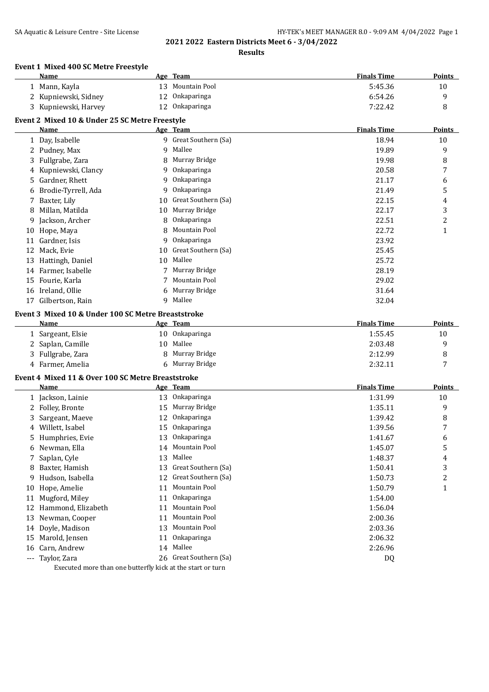# **Results**

# **Event 1 Mixed 400 SC Metre Freestyle**

|          | <b>Name</b>                                        |          | Age Team                        | <b>Finals Time</b> | <b>Points</b>           |
|----------|----------------------------------------------------|----------|---------------------------------|--------------------|-------------------------|
|          | 1 Mann, Kayla                                      |          | 13 Mountain Pool                | 5:45.36            | 10                      |
| 2        | Kupniewski, Sidney                                 | 12       | Onkaparinga                     | 6:54.26            | 9                       |
|          | 3 Kupniewski, Harvey                               | 12       | Onkaparinga                     | 7:22.42            | 8                       |
|          | Event 2 Mixed 10 & Under 25 SC Metre Freestyle     |          |                                 |                    |                         |
|          | Name                                               |          | Age Team                        | <b>Finals Time</b> | Points                  |
|          | 1 Day, Isabelle                                    |          | 9 Great Southern (Sa)           | 18.94              | 10                      |
|          | 2 Pudney, Max                                      | 9        | Mallee                          | 19.89              | 9                       |
| 3        | Fullgrabe, Zara                                    | 8        | Murray Bridge                   | 19.98              | 8                       |
| 4        | Kupniewski, Clancy                                 | 9        | Onkaparinga                     | 20.58              | 7                       |
| 5.       | Gardner, Rhett                                     | 9        | Onkaparinga                     | 21.17              | 6                       |
| 6        | Brodie-Tyrrell, Ada                                | 9        | Onkaparinga                     | 21.49              | 5                       |
| 7        | Baxter, Lily                                       | 10       | Great Southern (Sa)             | 22.15              | 4                       |
| 8        | Millan, Matilda                                    | 10       | Murray Bridge                   | 22.17              | 3                       |
| 9        | Jackson, Archer                                    | 8        | Onkaparinga                     | 22.51              | $\overline{\mathbf{c}}$ |
|          | 10 Hope, Maya                                      | 8        | Mountain Pool                   | 22.72              | $\mathbf{1}$            |
| 11       | Gardner, Isis                                      | 9        | Onkaparinga                     | 23.92              |                         |
|          | 12 Mack, Evie                                      | 10       | Great Southern (Sa)             | 25.45              |                         |
|          | 13 Hattingh, Daniel                                | 10       | Mallee                          | 25.72              |                         |
|          | 14 Farmer, Isabelle                                |          | Murray Bridge                   | 28.19              |                         |
|          | 15 Fourie, Karla                                   |          | Mountain Pool                   | 29.02              |                         |
|          | 16 Ireland, Ollie                                  | 6        | Murray Bridge                   | 31.64              |                         |
| 17       | Gilbertson, Rain                                   |          | 9 Mallee                        | 32.04              |                         |
|          | Event 3 Mixed 10 & Under 100 SC Metre Breaststroke |          |                                 |                    |                         |
|          | Name                                               |          | Age Team                        | <b>Finals Time</b> | <b>Points</b>           |
|          | 1 Sargeant, Elsie                                  |          | 10 Onkaparinga                  | 1:55.45            | 10                      |
|          | 2 Saplan, Camille                                  | 10       | Mallee                          | 2:03.48            | 9                       |
|          | 3 Fullgrabe, Zara                                  | 8        | Murray Bridge                   | 2:12.99            | 8                       |
|          | 4 Farmer, Amelia                                   |          | 6 Murray Bridge                 | 2:32.11            | 7                       |
|          |                                                    |          |                                 |                    |                         |
|          | Event 4 Mixed 11 & Over 100 SC Metre Breaststroke  |          |                                 |                    |                         |
|          | <b>Name</b>                                        |          | Age Team                        | <b>Finals Time</b> | <b>Points</b>           |
|          | 1 Jackson, Lainie                                  |          | 13 Onkaparinga<br>Murray Bridge | 1:31.99            | 10                      |
|          | 2 Folley, Bronte                                   | 15       | Onkaparinga                     | 1:35.11            | 9                       |
| 3        | Sargeant, Maeve                                    | 12       | Onkaparinga                     | 1:39.42            | 8                       |
| 4        | Willett, Isabel                                    | 15<br>13 |                                 | 1:39.56            | 7                       |
|          | 5 Humphries, Evie                                  |          | Onkaparinga                     | 1:41.67            | 6                       |
|          | 6 Newman, Ella                                     |          | 14 Mountain Pool                | 1:45.07            | 5                       |
|          | 7 Saplan, Cyle                                     | 13       | Mallee<br>Great Southern (Sa)   | 1:48.37            | 4                       |
|          | 8 Baxter, Hamish                                   | 13       | Great Southern (Sa)             | 1:50.41            | 3                       |
|          | 9 Hudson, Isabella                                 | 12       |                                 | 1:50.73            | 2                       |
| 10       | Hope, Amelie                                       | 11       | Mountain Pool                   | 1:50.79            | 1                       |
| 11       | Mugford, Miley                                     | 11       | Onkaparinga                     | 1:54.00            |                         |
| 12       | Hammond, Elizabeth                                 | 11       | Mountain Pool                   | 1:56.04            |                         |
| 13       | Newman, Cooper                                     | 11       | Mountain Pool                   | 2:00.36            |                         |
| 14       | Doyle, Madison                                     | 13       | Mountain Pool                   | 2:03.36            |                         |
| 15       | Marold, Jensen                                     | 11       | Onkaparinga                     | 2:06.32            |                         |
| 16       | Carn, Andrew                                       |          | 14 Mallee                       | 2:26.96            |                         |
| $\cdots$ | Taylor, Zara                                       |          | 26 Great Southern (Sa)          | DQ                 |                         |

Executed more than one butterfly kick at the start or turn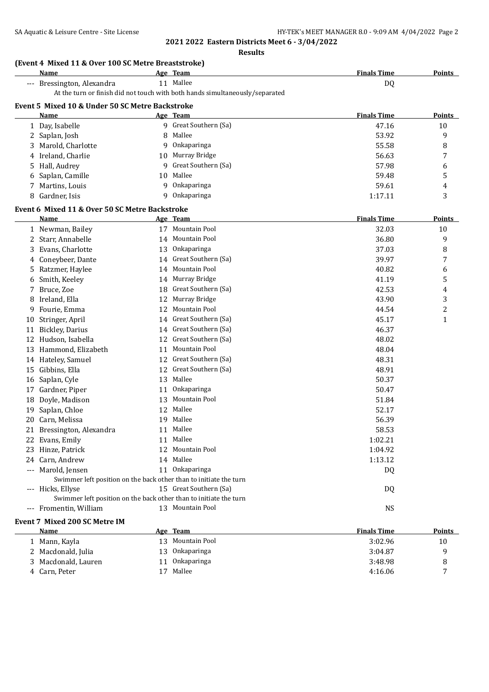**Results**

|                     | (Event 4 Mixed 11 & Over 100 SC Metre Breaststroke)<br>Name       |    | Age Team                                                                     | <b>Finals Time</b> | Points        |
|---------------------|-------------------------------------------------------------------|----|------------------------------------------------------------------------------|--------------------|---------------|
|                     | --- Bressington, Alexandra                                        |    | 11 Mallee                                                                    | DQ                 |               |
|                     |                                                                   |    | At the turn or finish did not touch with both hands simultaneously/separated |                    |               |
|                     | Event 5 Mixed 10 & Under 50 SC Metre Backstroke                   |    |                                                                              |                    |               |
|                     | Name                                                              |    | Age Team                                                                     | <b>Finals Time</b> | <b>Points</b> |
|                     | 1 Day, Isabelle                                                   |    | 9 Great Southern (Sa)                                                        | 47.16              | 10            |
|                     | 2 Saplan, Josh                                                    | 8  | Mallee                                                                       | 53.92              | 9             |
| 3                   | Marold, Charlotte                                                 | 9  | Onkaparinga                                                                  | 55.58              | 8             |
| 4                   | Ireland, Charlie                                                  | 10 | Murray Bridge                                                                | 56.63              | 7             |
| 5.                  | Hall, Audrey                                                      | 9  | Great Southern (Sa)                                                          | 57.98              | 6             |
| 6                   | Saplan, Camille                                                   | 10 | Mallee                                                                       | 59.48              | 5             |
| 7                   | Martins, Louis                                                    | 9  | Onkaparinga                                                                  | 59.61              | 4             |
| 8                   | Gardner, Isis                                                     | 9  | Onkaparinga                                                                  | 1:17.11            | 3             |
|                     | Event 6 Mixed 11 & Over 50 SC Metre Backstroke                    |    |                                                                              |                    |               |
|                     | Name                                                              |    | Age Team                                                                     | <b>Finals Time</b> | <b>Points</b> |
|                     | 1 Newman, Bailey                                                  |    | 17 Mountain Pool                                                             | 32.03              | 10            |
|                     | 2 Starr, Annabelle                                                | 14 | <b>Mountain Pool</b>                                                         | 36.80              | 9             |
| 3                   | Evans, Charlotte                                                  | 13 | Onkaparinga                                                                  | 37.03              | 8             |
| 4                   | Coneybeer, Dante                                                  | 14 | Great Southern (Sa)                                                          | 39.97              | 7             |
| 5                   | Ratzmer, Haylee                                                   | 14 | <b>Mountain Pool</b>                                                         | 40.82              | 6             |
| 6                   | Smith, Keeley                                                     | 14 | Murray Bridge                                                                | 41.19              | 5             |
| 7                   | Bruce, Zoe                                                        | 18 | Great Southern (Sa)                                                          | 42.53              | 4             |
| 8                   | Ireland, Ella                                                     | 12 | Murray Bridge                                                                | 43.90              | 3             |
| 9                   | Fourie, Emma                                                      | 12 | Mountain Pool                                                                | 44.54              | 2             |
| 10                  | Stringer, April                                                   | 14 | Great Southern (Sa)                                                          | 45.17              | 1             |
| 11                  | <b>Bickley, Darius</b>                                            | 14 | Great Southern (Sa)                                                          | 46.37              |               |
| 12                  | Hudson, Isabella                                                  | 12 | Great Southern (Sa)                                                          | 48.02              |               |
| 13                  | Hammond, Elizabeth                                                | 11 | Mountain Pool                                                                | 48.04              |               |
|                     | 14 Hateley, Samuel                                                | 12 | Great Southern (Sa)                                                          | 48.31              |               |
| 15                  | Gibbins, Ella                                                     | 12 | Great Southern (Sa)                                                          | 48.91              |               |
| 16                  | Saplan, Cyle                                                      |    | 13 Mallee                                                                    | 50.37              |               |
| 17                  | Gardner, Piper                                                    | 11 | Onkaparinga                                                                  | 50.47              |               |
| 18                  | Doyle, Madison                                                    | 13 | Mountain Pool                                                                | 51.84              |               |
| 19                  | Saplan, Chloe                                                     | 12 | Mallee                                                                       | 52.17              |               |
| 20                  | Carn, Melissa                                                     |    | 19 Mallee                                                                    | 56.39              |               |
|                     | 21 Bressington, Alexandra                                         |    | 11 Mallee                                                                    | 58.53              |               |
|                     | 22 Evans, Emily                                                   |    | 11 Mallee                                                                    | 1:02.21            |               |
|                     | 23 Hinze, Patrick                                                 |    | 12 Mountain Pool                                                             | 1:04.92            |               |
|                     | 24 Carn, Andrew                                                   |    | 14 Mallee                                                                    | 1:13.12            |               |
|                     | --- Marold, Jensen                                                |    | 11 Onkaparinga                                                               | DQ                 |               |
|                     | Swimmer left position on the back other than to initiate the turn |    |                                                                              |                    |               |
| $\qquad \qquad - -$ | Hicks, Ellyse                                                     |    | 15 Great Southern (Sa)                                                       | DQ                 |               |
|                     | Swimmer left position on the back other than to initiate the turn |    |                                                                              |                    |               |
|                     | --- Fromentin, William                                            |    | 13 Mountain Pool                                                             | <b>NS</b>          |               |
|                     | Event 7 Mixed 200 SC Metre IM                                     |    |                                                                              |                    |               |
|                     | <u>Name</u>                                                       |    | Age Team                                                                     | <b>Finals Time</b> | <b>Points</b> |

| <b>Name</b>         | Age Team            | <b>Finals Time</b> | Points |
|---------------------|---------------------|--------------------|--------|
| 1 Mann, Kayla       | Mountain Pool<br>13 | 3:02.96            | 10     |
| 2 Macdonald, Julia  | Onkaparinga<br>13   | 3:04.87            |        |
| 3 Macdonald, Lauren | Onkaparinga<br>11   | 3:48.98            |        |
| Carn, Peter         | Mallee<br>17        | 4:16.06            | -      |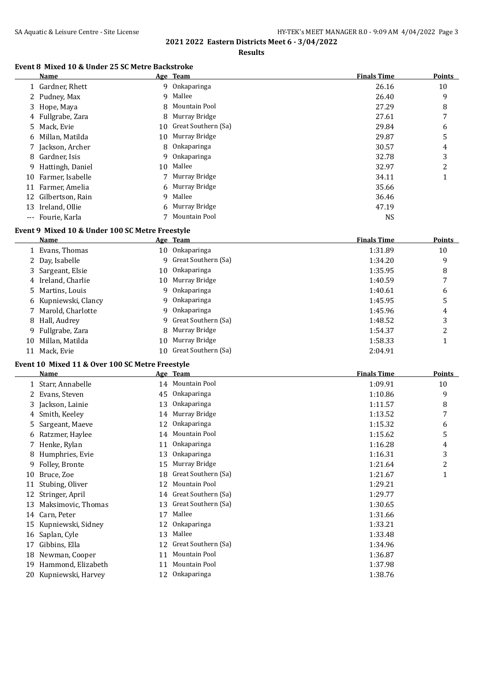**Results**

#### **Event 8 Mixed 10 & Under 25 SC Metre Backstroke**

|       | Name               | Age Team               | <b>Finals Time</b> | <b>Points</b> |
|-------|--------------------|------------------------|--------------------|---------------|
|       | 1 Gardner, Rhett   | 9 Onkaparinga          | 26.16              | 10            |
|       | 2 Pudney, Max      | 9 Mallee               | 26.40              | 9             |
|       | 3 Hope, Maya       | 8 Mountain Pool        | 27.29              | 8             |
|       | 4 Fullgrabe, Zara  | 8 Murray Bridge        | 27.61              | 7             |
|       | 5 Mack, Evie       | 10 Great Southern (Sa) | 29.84              | 6             |
|       | 6 Millan, Matilda  | 10 Murray Bridge       | 29.87              | 5             |
|       | 7 Jackson, Archer  | 8 Onkaparinga          | 30.57              | 4             |
|       | 8 Gardner, Isis    | 9 Onkaparinga          | 32.78              | 3             |
|       | 9 Hattingh, Daniel | 10 Mallee              | 32.97              | 2             |
| 10    | Farmer, Isabelle   | 7 Murray Bridge        | 34.11              | 1             |
|       | 11 Farmer, Amelia  | 6 Murray Bridge        | 35.66              |               |
| 12.   | Gilbertson, Rain   | 9 Mallee               | 36.46              |               |
| 13    | Ireland, Ollie     | 6 Murray Bridge        | 47.19              |               |
| $---$ | Fourie, Karla      | Mountain Pool          | <b>NS</b>          |               |

# **Event 9 Mixed 10 & Under 100 SC Metre Freestyle**

|    | Name                 |     | Age Team              | <b>Finals Time</b> | Points |
|----|----------------------|-----|-----------------------|--------------------|--------|
|    | 1 Evans, Thomas      |     | 10 Onkaparinga        | 1:31.89            | 10     |
|    | 2 Day, Isabelle      |     | 9 Great Southern (Sa) | 1:34.20            | 9      |
|    | 3 Sargeant, Elsie    | 10  | Onkaparinga           | 1:35.95            | 8      |
|    | 4 Ireland, Charlie   | 10  | Murray Bridge         | 1:40.59            |        |
|    | 5 Martins, Louis     |     | 9 Onkaparinga         | 1:40.61            | 6      |
|    | 6 Kupniewski, Clancy |     | 9 Onkaparinga         | 1:45.95            | 5      |
|    | 7 Marold, Charlotte  |     | 9 Onkaparinga         | 1:45.96            | 4      |
|    | 8 Hall, Audrey       |     | 9 Great Southern (Sa) | 1:48.52            | 3      |
|    | 9 Fullgrabe, Zara    |     | 8 Murray Bridge       | 1:54.37            | 2      |
| 10 | Millan, Matilda      | 10  | Murray Bridge         | 1:58.33            |        |
| 11 | Mack. Evie           | 10. | Great Southern (Sa)   | 2:04.91            |        |

## **Event 10 Mixed 11 & Over 100 SC Metre Freestyle**

|    | Name                  |    | Age Team            | <b>Finals Time</b> | <b>Points</b> |
|----|-----------------------|----|---------------------|--------------------|---------------|
|    | 1 Starr, Annabelle    |    | 14 Mountain Pool    | 1:09.91            | 10            |
| 2  | Evans, Steven         | 45 | <b>Onkaparinga</b>  | 1:10.86            | 9             |
| 3  | Jackson, Lainie       | 13 | Onkaparinga         | 1:11.57            | 8             |
| 4  | Smith, Keeley         | 14 | Murray Bridge       | 1:13.52            | 7             |
| 5. | Sargeant, Maeve       | 12 | Onkaparinga         | 1:15.32            | 6             |
|    | 6 Ratzmer, Haylee     | 14 | Mountain Pool       | 1:15.62            | 5             |
|    | 7 Henke, Rylan        | 11 | Onkaparinga         | 1:16.28            | 4             |
| 8  | Humphries, Evie       | 13 | Onkaparinga         | 1:16.31            | 3             |
| 9  | Folley, Bronte        | 15 | Murray Bridge       | 1:21.64            | 2             |
| 10 | Bruce, Zoe            | 18 | Great Southern (Sa) | 1:21.67            | 1             |
| 11 | Stubing, Oliver       | 12 | Mountain Pool       | 1:29.21            |               |
| 12 | Stringer, April       | 14 | Great Southern (Sa) | 1:29.77            |               |
| 13 | Maksimovic, Thomas    | 13 | Great Southern (Sa) | 1:30.65            |               |
| 14 | Carn, Peter           | 17 | Mallee              | 1:31.66            |               |
| 15 | Kupniewski, Sidney    | 12 | <b>Onkaparinga</b>  | 1:33.21            |               |
| 16 | Saplan, Cyle          | 13 | Mallee              | 1:33.48            |               |
| 17 | Gibbins, Ella         | 12 | Great Southern (Sa) | 1:34.96            |               |
| 18 | Newman, Cooper        | 11 | Mountain Pool       | 1:36.87            |               |
| 19 | Hammond, Elizabeth    | 11 | Mountain Pool       | 1:37.98            |               |
|    | 20 Kupniewski, Harvey | 12 | Onkaparinga         | 1:38.76            |               |
|    |                       |    |                     |                    |               |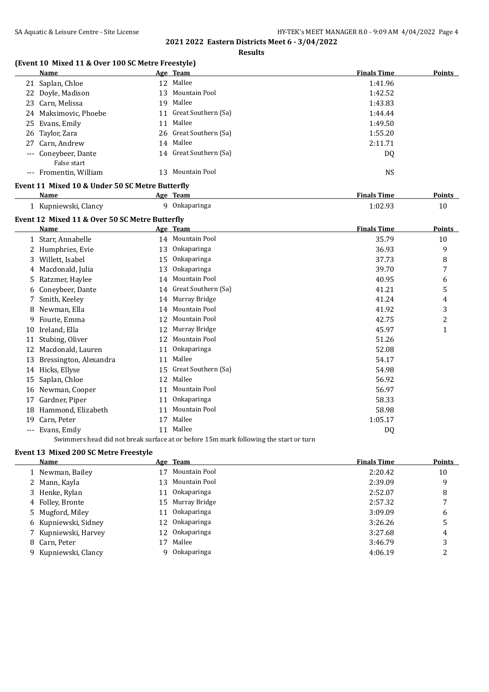**Results**

# **(Event 10 Mixed 11 & Over 100 SC Metre Freestyle)**

|          | Name                                            |    | Age Team               | <b>Finals Time</b> | Points       |
|----------|-------------------------------------------------|----|------------------------|--------------------|--------------|
|          | 21 Saplan, Chloe                                |    | 12 Mallee              | 1:41.96            |              |
|          | 22 Doyle, Madison                               |    | 13 Mountain Pool       | 1:42.52            |              |
|          | 23 Carn, Melissa                                |    | 19 Mallee              | 1:43.83            |              |
|          | 24 Maksimovic, Phoebe                           |    | 11 Great Southern (Sa) | 1:44.44            |              |
|          | 25 Evans, Emily                                 |    | 11 Mallee              | 1:49.50            |              |
| 26       | Taylor, Zara                                    |    | 26 Great Southern (Sa) | 1:55.20            |              |
| 27       | Carn, Andrew                                    |    | 14 Mallee              | 2:11.71            |              |
|          | Coneybeer, Dante<br>False start                 |    | 14 Great Southern (Sa) | DQ                 |              |
|          | --- Fromentin, William                          |    | 13 Mountain Pool       | <b>NS</b>          |              |
|          | Event 11 Mixed 10 & Under 50 SC Metre Butterfly |    |                        |                    |              |
|          | <b>Name</b>                                     |    | Age Team               | <b>Finals Time</b> | Points       |
|          | 1 Kupniewski, Clancy                            |    | 9 Onkaparinga          | 1:02.93            | 10           |
|          | Event 12 Mixed 11 & Over 50 SC Metre Butterfly  |    |                        |                    |              |
|          | <b>Name</b>                                     |    | Age Team               | <b>Finals Time</b> | Points       |
|          | 1 Starr, Annabelle                              |    | 14 Mountain Pool       | 35.79              | 10           |
|          | 2 Humphries, Evie                               |    | 13 Onkaparinga         | 36.93              | 9            |
|          | 3 Willett, Isabel                               |    | 15 Onkaparinga         | 37.73              | 8            |
|          | 4 Macdonald, Julia                              |    | 13 Onkaparinga         | 39.70              | 7            |
|          | 5 Ratzmer, Haylee                               |    | 14 Mountain Pool       | 40.95              | 6            |
|          | 6 Coneybeer, Dante                              |    | 14 Great Southern (Sa) | 41.21              | 5            |
|          | 7 Smith, Keeley                                 |    | 14 Murray Bridge       | 41.24              | 4            |
| 8        | Newman, Ella                                    |    | 14 Mountain Pool       | 41.92              | 3            |
| 9.       | Fourie, Emma                                    |    | 12 Mountain Pool       | 42.75              | 2            |
|          | 10 Ireland, Ella                                |    | 12 Murray Bridge       | 45.97              | $\mathbf{1}$ |
|          | 11 Stubing, Oliver                              |    | 12 Mountain Pool       | 51.26              |              |
|          | 12 Macdonald, Lauren                            | 11 | Onkaparinga            | 52.08              |              |
|          | 13 Bressington, Alexandra                       | 11 | Mallee                 | 54.17              |              |
|          | 14 Hicks, Ellyse                                |    | 15 Great Southern (Sa) | 54.98              |              |
|          | 15 Saplan, Chloe                                |    | 12 Mallee              | 56.92              |              |
|          | 16 Newman, Cooper                               |    | 11 Mountain Pool       | 56.97              |              |
|          | 17 Gardner, Piper                               | 11 | Onkaparinga            | 58.33              |              |
|          | 18 Hammond, Elizabeth                           | 11 | Mountain Pool          | 58.98              |              |
| 19       | Carn, Peter                                     | 17 | Mallee                 | 1:05.17            |              |
| $\cdots$ | Evans, Emily                                    |    | 11 Mallee              | D <sub>0</sub>     |              |

Swimmers head did not break surface at or before 15m mark following the start or turn

# **Event 13 Mixed 200 SC Metre Freestyle**

| Name                 |     | Age Team         | <b>Finals Time</b> | <b>Points</b> |
|----------------------|-----|------------------|--------------------|---------------|
| 1 Newman, Bailey     | 17  | Mountain Pool    | 2:20.42            | 10            |
| 2 Mann, Kayla        | 13. | Mountain Pool    | 2:39.09            | 9             |
| 3 Henke, Rylan       |     | 11 Onkaparinga   | 2:52.07            | 8             |
| 4 Folley, Bronte     |     | 15 Murray Bridge | 2:57.32            |               |
| 5 Mugford, Miley     |     | 11 Onkaparinga   | 3:09.09            | 6             |
| 6 Kupniewski, Sidney |     | 12 Onkaparinga   | 3:26.26            | 5             |
| 7 Kupniewski, Harvey |     | 12 Onkaparinga   | 3:27.68            | 4             |
| 8 Carn, Peter        | 17  | Mallee           | 3:46.79            | 3             |
| 9 Kupniewski, Clancy |     | Onkaparinga      | 4:06.19            |               |
|                      |     |                  |                    |               |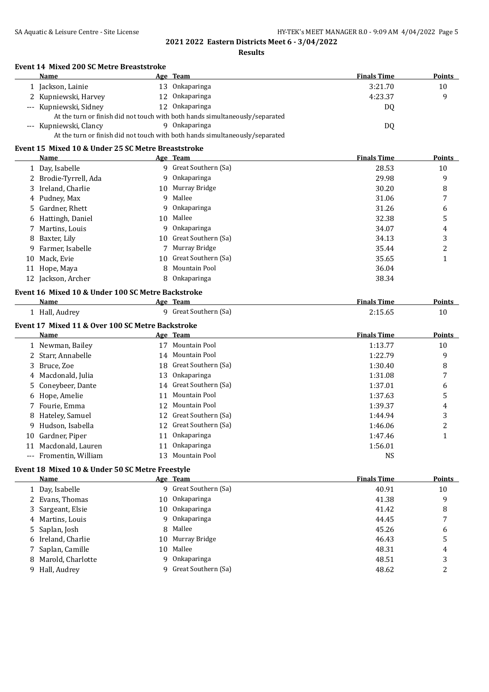**Results**

#### **Event 14 Mixed 200 SC Metre Breaststroke**

|                                                                              | Name                                                                         |  | <u>Age Team</u> | <b>Finals Time</b> | <b>Points</b> |  |
|------------------------------------------------------------------------------|------------------------------------------------------------------------------|--|-----------------|--------------------|---------------|--|
|                                                                              | 1 Jackson, Lainie                                                            |  | 13 Onkaparinga  | 3:21.70            | 10            |  |
|                                                                              | 2 Kupniewski, Harvey                                                         |  | 12 Onkaparinga  | 4:23.37            | q             |  |
|                                                                              | --- Kupniewski, Sidney                                                       |  | 12 Onkaparinga  | DQ                 |               |  |
| At the turn or finish did not touch with both hands simultaneously/separated |                                                                              |  |                 |                    |               |  |
|                                                                              | --- Kupniewski, Clancy                                                       |  | 9 Onkaparinga   | DQ                 |               |  |
|                                                                              | At the turn or finish did not touch with both hands simultaneously/separated |  |                 |                    |               |  |

# **Event 15 Mixed 10 & Under 25 SC Metre Breaststroke**

|    | Name                                              |    | Age Team               | <b>Finals Time</b> | <b>Points</b> |
|----|---------------------------------------------------|----|------------------------|--------------------|---------------|
|    | 1 Day, Isabelle                                   |    | 9 Great Southern (Sa)  | 28.53              | 10            |
|    | 2 Brodie-Tyrrell, Ada                             | 9  | Onkaparinga            | 29.98              | 9             |
|    | 3 Ireland, Charlie                                |    | 10 Murray Bridge       | 30.20              | 8             |
|    | 4 Pudney, Max                                     | 9  | Mallee                 | 31.06              | 7             |
|    | 5 Gardner, Rhett                                  | 9  | <b>Onkaparinga</b>     | 31.26              | 6             |
|    | 6 Hattingh, Daniel                                |    | 10 Mallee              | 32.38              | 5             |
|    | 7 Martins, Louis                                  | 9  | <b>Onkaparinga</b>     | 34.07              | 4             |
| 8  | Baxter, Lily                                      | 10 | Great Southern (Sa)    | 34.13              | 3             |
| 9  | Farmer, Isabelle                                  |    | Murray Bridge          | 35.44              | 2             |
| 10 | Mack, Evie                                        |    | 10 Great Southern (Sa) | 35.65              |               |
|    | 11 Hope, Maya                                     | 8  | Mountain Pool          | 36.04              |               |
|    | 12 Jackson, Archer                                | 8  | Onkaparinga            | 38.34              |               |
|    | Event 16 Mixed 10 & Under 100 SC Metre Backstroke |    |                        |                    |               |
|    | Name                                              |    | Age Team               | <b>Finals Time</b> | <b>Points</b> |
|    | 1 Hall, Audrey                                    | 9  | Great Southern (Sa)    | 2:15.65            | 10            |

# **Event 17 Mixed 11 & Over 100 SC Metre Backstroke**

|    | <b>Name</b>            |    | Age Team               | <b>Finals Time</b> | Points |
|----|------------------------|----|------------------------|--------------------|--------|
|    | 1 Newman, Bailey       | 17 | Mountain Pool          | 1:13.77            | 10     |
|    | 2 Starr, Annabelle     |    | 14 Mountain Pool       | 1:22.79            | 9      |
|    | 3 Bruce, Zoe           |    | 18 Great Southern (Sa) | 1:30.40            | 8      |
|    | 4 Macdonald, Julia     | 13 | Onkaparinga            | 1:31.08            |        |
|    | 5 Coneybeer, Dante     |    | 14 Great Southern (Sa) | 1:37.01            | 6      |
|    | 6 Hope, Amelie         |    | 11 Mountain Pool       | 1:37.63            | 5      |
|    | 7 Fourie, Emma         |    | 12 Mountain Pool       | 1:39.37            | 4      |
|    | 8 Hateley, Samuel      |    | 12 Great Southern (Sa) | 1:44.94            | 3      |
|    | 9 Hudson, Isabella     |    | 12 Great Southern (Sa) | 1:46.06            | 2      |
|    | 10 Gardner, Piper      |    | 11 Onkaparinga         | 1:47.46            |        |
| 11 | Macdonald, Lauren      |    | 11 Onkaparinga         | 1:56.01            |        |
|    | --- Fromentin, William |    | <b>Mountain Pool</b>   | <b>NS</b>          |        |

# **Event 18 Mixed 10 & Under 50 SC Metre Freestyle**

| Name                |    | Age Team              | <b>Finals Time</b> | <b>Points</b> |
|---------------------|----|-----------------------|--------------------|---------------|
| 1 Day, Isabelle     |    | 9 Great Southern (Sa) | 40.91              | 10            |
| 2 Evans, Thomas     |    | 10 Onkaparinga        | 41.38              | 9             |
| 3 Sargeant, Elsie   |    | 10 Onkaparinga        | 41.42              | 8             |
| 4 Martins, Louis    |    | 9 Onkaparinga         | 44.45              |               |
| 5 Saplan, Josh      |    | 8 Mallee              | 45.26              | 6             |
| 6 Ireland, Charlie  |    | 10 Murray Bridge      | 46.43              | 5             |
| 7 Saplan, Camille   |    | 10 Mallee             | 48.31              | 4             |
| 8 Marold, Charlotte | 9. | Onkaparinga           | 48.51              | 3             |
| 9 Hall, Audrey      |    | 9 Great Southern (Sa) | 48.62              | 2             |
|                     |    |                       |                    |               |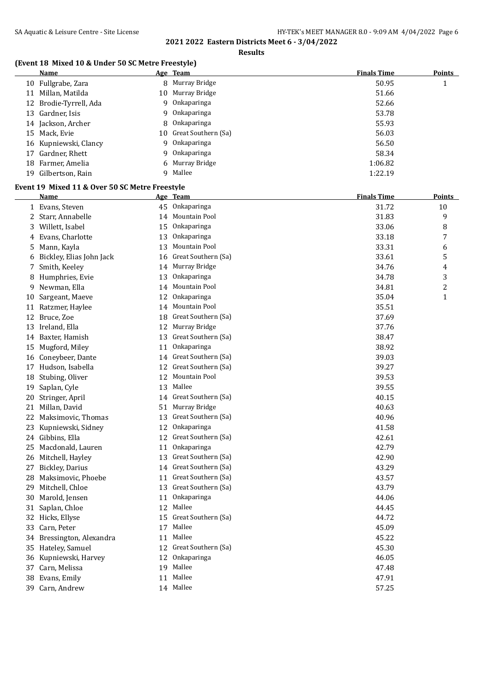**Results**

# **(Event 18 Mixed 10 & Under 50 SC Metre Freestyle)**

|    | Name                   |    | Age Team               | <b>Finals Time</b> | <b>Points</b> |
|----|------------------------|----|------------------------|--------------------|---------------|
|    | 10 Fullgrabe, Zara     |    | 8 Murray Bridge        | 50.95              |               |
| 11 | Millan, Matilda        |    | 10 Murray Bridge       | 51.66              |               |
|    | 12 Brodie-Tyrrell, Ada | 9  | Onkaparinga            | 52.66              |               |
|    | 13 Gardner, Isis       |    | 9 Onkaparinga          | 53.78              |               |
|    | 14 Jackson, Archer     |    | 8 Onkaparinga          | 55.93              |               |
|    | 15 Mack, Evie          |    | 10 Great Southern (Sa) | 56.03              |               |
|    | 16 Kupniewski, Clancy  | Q. | Onkaparinga            | 56.50              |               |
| 17 | Gardner, Rhett         | 9  | Onkaparinga            | 58.34              |               |
|    | 18 Farmer, Amelia      |    | 6 Murray Bridge        | 1:06.82            |               |
| 19 | Gilbertson, Rain       |    | 9 Mallee               | 1:22.19            |               |

#### **Event 19 Mixed 11 & Over 50 SC Metre Freestyle**

|    | <b>Name</b>              |    | Age Team               | <b>Finals Time</b> | <b>Points</b>           |
|----|--------------------------|----|------------------------|--------------------|-------------------------|
|    | 1 Evans, Steven          | 45 | Onkaparinga            | 31.72              | 10                      |
|    | 2 Starr, Annabelle       | 14 | Mountain Pool          | 31.83              | 9                       |
|    | 3 Willett, Isabel        | 15 | Onkaparinga            | 33.06              | 8                       |
| 4  | Evans, Charlotte         | 13 | Onkaparinga            | 33.18              | 7                       |
| 5  | Mann, Kayla              | 13 | Mountain Pool          | 33.31              | 6                       |
| 6  | Bickley, Elias John Jack | 16 | Great Southern (Sa)    | 33.61              | 5                       |
|    | 7 Smith, Keeley          | 14 | Murray Bridge          | 34.76              | $\overline{\mathbf{4}}$ |
|    | 8 Humphries, Evie        | 13 | Onkaparinga            | 34.78              | 3                       |
| 9  | Newman, Ella             | 14 | Mountain Pool          | 34.81              | $\boldsymbol{2}$        |
| 10 | Sargeant, Maeve          | 12 | Onkaparinga            | 35.04              | $\mathbf{1}$            |
|    | 11 Ratzmer, Haylee       |    | 14 Mountain Pool       | 35.51              |                         |
|    | 12 Bruce, Zoe            | 18 | Great Southern (Sa)    | 37.69              |                         |
|    | 13 Ireland, Ella         | 12 | Murray Bridge          | 37.76              |                         |
| 14 | Baxter, Hamish           | 13 | Great Southern (Sa)    | 38.47              |                         |
| 15 | Mugford, Miley           | 11 | Onkaparinga            | 38.92              |                         |
| 16 | Coneybeer, Dante         | 14 | Great Southern (Sa)    | 39.03              |                         |
|    | 17 Hudson, Isabella      | 12 | Great Southern (Sa)    | 39.27              |                         |
|    | 18 Stubing, Oliver       | 12 | Mountain Pool          | 39.53              |                         |
| 19 | Saplan, Cyle             | 13 | Mallee                 | 39.55              |                         |
|    | 20 Stringer, April       |    | 14 Great Southern (Sa) | 40.15              |                         |
|    | 21 Millan, David         | 51 | Murray Bridge          | 40.63              |                         |
| 22 | Maksimovic, Thomas       | 13 | Great Southern (Sa)    | 40.96              |                         |
| 23 | Kupniewski, Sidney       | 12 | Onkaparinga            | 41.58              |                         |
|    | 24 Gibbins, Ella         | 12 | Great Southern (Sa)    | 42.61              |                         |
| 25 | Macdonald, Lauren        | 11 | Onkaparinga            | 42.79              |                         |
|    | 26 Mitchell, Hayley      | 13 | Great Southern (Sa)    | 42.90              |                         |
| 27 | <b>Bickley, Darius</b>   | 14 | Great Southern (Sa)    | 43.29              |                         |
| 28 | Maksimovic, Phoebe       | 11 | Great Southern (Sa)    | 43.57              |                         |
| 29 | Mitchell, Chloe          | 13 | Great Southern (Sa)    | 43.79              |                         |
|    | 30 Marold, Jensen        | 11 | Onkaparinga            | 44.06              |                         |
| 31 | Saplan, Chloe            | 12 | Mallee                 | 44.45              |                         |
|    | 32 Hicks, Ellyse         | 15 | Great Southern (Sa)    | 44.72              |                         |
|    | 33 Carn, Peter           | 17 | Mallee                 | 45.09              |                         |
| 34 | Bressington, Alexandra   | 11 | Mallee                 | 45.22              |                         |
|    | 35 Hateley, Samuel       | 12 | Great Southern (Sa)    | 45.30              |                         |
| 36 | Kupniewski, Harvey       | 12 | Onkaparinga            | 46.05              |                         |
|    | 37 Carn, Melissa         |    | 19 Mallee              | 47.48              |                         |
| 38 | Evans, Emily             | 11 | Mallee                 | 47.91              |                         |
| 39 | Carn, Andrew             |    | 14 Mallee              | 57.25              |                         |
|    |                          |    |                        |                    |                         |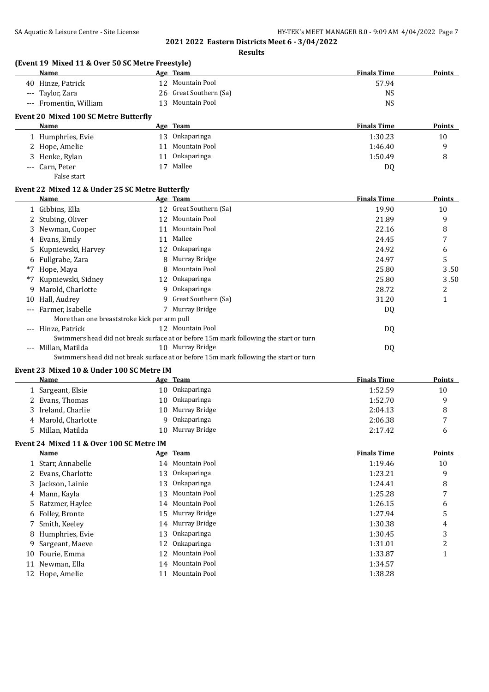**Results**

|       | (Event 19 Mixed 11 & Over 50 SC Metre Freestyle)<br><b>Name</b>    |    | Age Team                                                                              | <b>Finals Time</b> | Points         |
|-------|--------------------------------------------------------------------|----|---------------------------------------------------------------------------------------|--------------------|----------------|
|       | 40 Hinze, Patrick                                                  |    | 12 Mountain Pool                                                                      | 57.94              |                |
|       | --- Taylor, Zara                                                   |    | 26 Great Southern (Sa)                                                                | <b>NS</b>          |                |
|       | --- Fromentin, William                                             |    | 13 Mountain Pool                                                                      | <b>NS</b>          |                |
|       | Event 20 Mixed 100 SC Metre Butterfly                              |    |                                                                                       |                    |                |
|       | Name                                                               |    | Age Team                                                                              | <b>Finals Time</b> | <b>Points</b>  |
|       | 1 Humphries, Evie                                                  |    | 13 Onkaparinga                                                                        | 1:30.23            | 10             |
|       | 2 Hope, Amelie                                                     |    | 11 Mountain Pool                                                                      | 1:46.40            | 9              |
| 3     | Henke, Rylan                                                       |    | 11 Onkaparinga                                                                        | 1:50.49            | 8              |
| $---$ | Carn, Peter                                                        |    | 17 Mallee                                                                             | DQ                 |                |
|       | False start                                                        |    |                                                                                       |                    |                |
|       | Event 22 Mixed 12 & Under 25 SC Metre Butterfly                    |    |                                                                                       |                    |                |
|       | Name                                                               |    | Age Team                                                                              | <b>Finals Time</b> | Points         |
|       | 1 Gibbins, Ella                                                    |    | 12 Great Southern (Sa)                                                                | 19.90              | 10             |
|       | 2 Stubing, Oliver                                                  |    | 12 Mountain Pool                                                                      | 21.89              | 9              |
| 3     | Newman, Cooper                                                     |    | 11 Mountain Pool                                                                      | 22.16              | 8              |
| 4     | Evans, Emily                                                       |    | 11 Mallee                                                                             | 24.45              | 7              |
| 5     | Kupniewski, Harvey                                                 |    | 12 Onkaparinga                                                                        | 24.92              | 6              |
| 6     | Fullgrabe, Zara                                                    | 8  | Murray Bridge                                                                         | 24.97              | 5              |
| *7    | Hope, Maya                                                         | 8  | Mountain Pool                                                                         | 25.80              | 3.50           |
| *7    | Kupniewski, Sidney                                                 |    | 12 Onkaparinga                                                                        | 25.80              | 3.50           |
| 9     | Marold, Charlotte                                                  |    | 9 Onkaparinga                                                                         | 28.72              |                |
|       |                                                                    | 9  | Great Southern (Sa)                                                                   |                    | 2              |
| 10    | Hall, Audrey                                                       |    |                                                                                       | 31.20              | $\mathbf{1}$   |
|       | --- Farmer, Isabelle                                               |    | 7 Murray Bridge                                                                       | DQ                 |                |
|       | More than one breaststroke kick per arm pull<br>--- Hinze, Patrick |    | 12 Mountain Pool                                                                      | DQ                 |                |
|       |                                                                    |    | Swimmers head did not break surface at or before 15m mark following the start or turn |                    |                |
|       | --- Millan, Matilda                                                |    | 10 Murray Bridge                                                                      | DQ                 |                |
|       |                                                                    |    | Swimmers head did not break surface at or before 15m mark following the start or turn |                    |                |
|       | Event 23 Mixed 10 & Under 100 SC Metre IM                          |    |                                                                                       |                    |                |
|       | Name                                                               |    | Age Team                                                                              | <b>Finals Time</b> | Points         |
|       | 1 Sargeant, Elsie                                                  |    | 10 Onkaparinga                                                                        | 1:52.59            | 10             |
|       | 2 Evans, Thomas                                                    |    | 10 Onkaparinga                                                                        | 1:52.70            | 9              |
| 3     | Ireland, Charlie                                                   | 10 | Murray Bridge                                                                         | 2:04.13            | 8              |
|       | Marold, Charlotte                                                  | 9  | Onkaparinga                                                                           | 2:06.38            | 7              |
| 4     | 5 Millan, Matilda                                                  | 10 | Murray Bridge                                                                         | 2:17.42            |                |
|       |                                                                    |    |                                                                                       |                    | 6              |
|       | Event 24 Mixed 11 & Over 100 SC Metre IM                           |    |                                                                                       |                    |                |
|       | <b>Name</b>                                                        |    | Age Team                                                                              | <b>Finals Time</b> | <b>Points</b>  |
|       | 1 Starr, Annabelle                                                 |    | 14 Mountain Pool                                                                      | 1:19.46            | $10\,$         |
| 2     | Evans, Charlotte                                                   | 13 | Onkaparinga                                                                           | 1:23.21            | 9              |
| 3     | Jackson, Lainie                                                    | 13 | Onkaparinga                                                                           | 1:24.41            | 8              |
| 4     | Mann, Kayla                                                        | 13 | Mountain Pool                                                                         | 1:25.28            | 7              |
| 5     | Ratzmer, Haylee                                                    | 14 | Mountain Pool                                                                         | 1:26.15            | 6              |
| 6     | Folley, Bronte                                                     | 15 | Murray Bridge                                                                         | 1:27.94            | 5              |
| 7     | Smith, Keeley                                                      | 14 | Murray Bridge                                                                         | 1:30.38            | 4              |
| 8     | Humphries, Evie                                                    | 13 | Onkaparinga                                                                           | 1:30.45            | 3              |
| 9     | Sargeant, Maeve                                                    | 12 | Onkaparinga                                                                           | 1:31.01            | $\overline{c}$ |
| 10    | Fourie, Emma                                                       | 12 | Mountain Pool                                                                         | 1:33.87            | 1              |
| 11    | Newman, Ella                                                       | 14 | Mountain Pool                                                                         | 1:34.57            |                |
|       | 12 Hope, Amelie                                                    |    | 11 Mountain Pool                                                                      | 1:38.28            |                |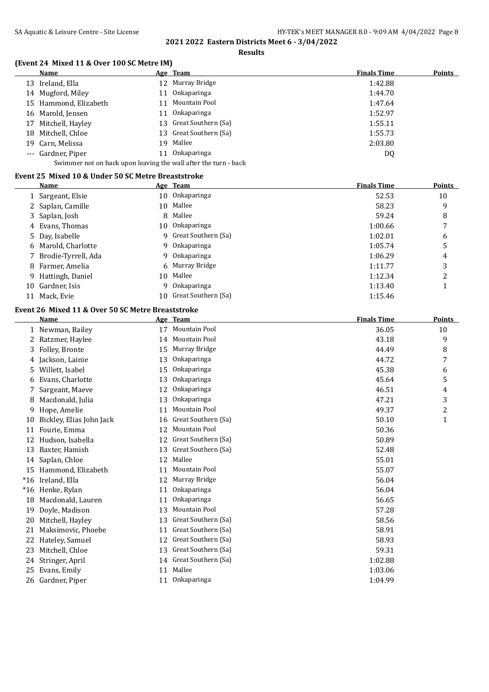**Results**

# **(Event 24 Mixed 11 & Over 100 SC Metre IM)**

| Name                                                            |    | Age Team               | <b>Finals Time</b> | Points |  |  |
|-----------------------------------------------------------------|----|------------------------|--------------------|--------|--|--|
| 13 Ireland, Ella                                                |    | 12 Murray Bridge       | 1:42.88            |        |  |  |
| 14 Mugford, Miley                                               | 11 | Onkaparinga            | 1:44.70            |        |  |  |
| 15 Hammond, Elizabeth                                           |    | 11 Mountain Pool       | 1:47.64            |        |  |  |
| 16 Marold, Jensen                                               | 11 | Onkaparinga            | 1:52.97            |        |  |  |
| 17 Mitchell, Hayley                                             |    | 13 Great Southern (Sa) | 1:55.11            |        |  |  |
| 18 Mitchell, Chloe                                              |    | 13 Great Southern (Sa) | 1:55.73            |        |  |  |
| 19 Carn, Melissa                                                |    | 19 Mallee              | 2:03.80            |        |  |  |
| --- Gardner, Piper                                              | 11 | <b>Onkaparinga</b>     | DQ                 |        |  |  |
| Swimmer not on back upon leaving the wall after the turn - back |    |                        |                    |        |  |  |

#### **Event 25 Mixed 10 & Under 50 SC Metre Breaststroke**

|    | Name                  |   | Age Team               | <b>Finals Time</b> | <b>Points</b> |
|----|-----------------------|---|------------------------|--------------------|---------------|
|    | 1 Sargeant, Elsie     |   | 10 Onkaparinga         | 52.53              | 10            |
|    | 2 Saplan, Camille     |   | 10 Mallee              | 58.23              | 9             |
|    | 3 Saplan, Josh        |   | 8 Mallee               | 59.24              | 8             |
|    | 4 Evans, Thomas       |   | 10 Onkaparinga         | 1:00.66            |               |
|    | 5 Day, Isabelle       |   | 9 Great Southern (Sa)  | 1:02.01            | 6             |
|    | 6 Marold, Charlotte   |   | 9 Onkaparinga          | 1:05.74            | 5             |
|    | 7 Brodie-Tyrrell, Ada |   | 9 Onkaparinga          | 1:06.29            | 4             |
|    | 8 Farmer, Amelia      |   | 6 Murray Bridge        | 1:11.77            | 3             |
|    | 9 Hattingh, Daniel    |   | 10 Mallee              | 1:12.34            | ີ             |
| 10 | Gardner, Isis         | 9 | Onkaparinga            | 1:13.40            |               |
| 11 | Mack, Evie            |   | 10 Great Southern (Sa) | 1:15.46            |               |

# **Event 26 Mixed 11 & Over 50 SC Metre Breaststroke**

|       | <b>Name</b>              |    | Age Team             | <b>Finals Time</b> | <b>Points</b>  |
|-------|--------------------------|----|----------------------|--------------------|----------------|
|       | 1 Newman, Bailey         | 17 | Mountain Pool        | 36.05              | 10             |
|       | Ratzmer, Haylee          | 14 | Mountain Pool        | 43.18              | 9              |
| 3     | Folley, Bronte           | 15 | Murray Bridge        | 44.49              | 8              |
| 4     | Jackson, Lainie          | 13 | Onkaparinga          | 44.72              | 7              |
| 5     | Willett, Isabel          | 15 | Onkaparinga          | 45.38              | 6              |
| 6     | Evans, Charlotte         | 13 | Onkaparinga          | 45.64              | 5              |
|       | Sargeant, Maeve          | 12 | Onkaparinga          | 46.51              | 4              |
| 8     | Macdonald, Julia         | 13 | Onkaparinga          | 47.21              | 3              |
| 9     | Hope, Amelie             | 11 | Mountain Pool        | 49.37              | $\overline{c}$ |
| 10    | Bickley, Elias John Jack | 16 | Great Southern (Sa)  | 50.10              | 1              |
| 11    | Fourie, Emma             | 12 | Mountain Pool        | 50.36              |                |
|       | Hudson, Isabella         | 12 | Great Southern (Sa)  | 50.89              |                |
| 13    | Baxter, Hamish           | 13 | Great Southern (Sa)  | 52.48              |                |
| 14    | Saplan, Chloe            | 12 | Mallee               | 55.01              |                |
| 15    | Hammond, Elizabeth       | 11 | Mountain Pool        | 55.07              |                |
| $*16$ | Ireland, Ella            | 12 | Murray Bridge        | 56.04              |                |
| $*16$ | Henke, Rylan             | 11 | Onkaparinga          | 56.04              |                |
| 18    | Macdonald, Lauren        | 11 | Onkaparinga          | 56.65              |                |
| 19    | Doyle, Madison           | 13 | <b>Mountain Pool</b> | 57.28              |                |
| 20    | Mitchell, Hayley         | 13 | Great Southern (Sa)  | 58.56              |                |
| 21    | Maksimovic, Phoebe       | 11 | Great Southern (Sa)  | 58.91              |                |
|       | Hateley, Samuel          | 12 | Great Southern (Sa)  | 58.93              |                |
| 23    | Mitchell, Chloe          | 13 | Great Southern (Sa)  | 59.31              |                |
| 24    | Stringer, April          | 14 | Great Southern (Sa)  | 1:02.88            |                |
| 25    | Evans, Emily             | 11 | Mallee               | 1:03.06            |                |
|       | 26 Gardner, Piper        | 11 | Onkaparinga          | 1:04.99            |                |
|       |                          |    |                      |                    |                |